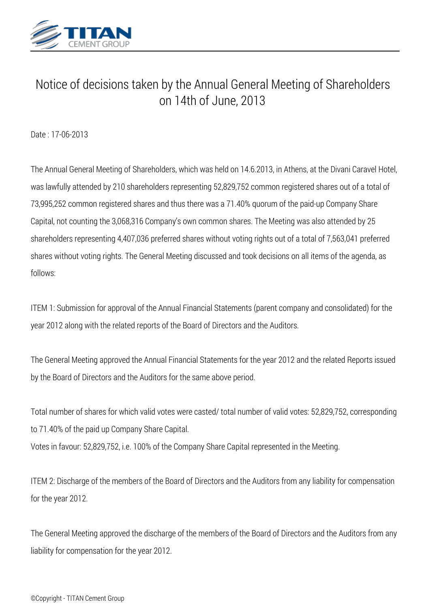

## *Notice of decisions taken by the Annual General Meeting of Shareholders on 14th of June, 2013*

*Date : 17-06-2013*

*The Annual General Meeting of Shareholders, which was held on 14.6.2013, in Athens, at the Divani Caravel Hotel, was lawfully attended by 210 shareholders representing 52,829,752 common registered shares out of a total of 73,995,252 common registered shares and thus there was a 71.40% quorum of the paid-up Company Share Capital, not counting the 3,068,316 Company's own common shares. The Meeting was also attended by 25 shareholders representing 4,407,036 preferred shares without voting rights out of a total of 7,563,041 preferred shares without voting rights. The General Meeting discussed and took decisions on all items of the agenda, as follows:*

*ITEM 1: Submission for approval of the Annual Financial Statements (parent company and consolidated) for the year 2012 along with the related reports of the Board of Directors and the Auditors.*

*The General Meeting approved the Annual Financial Statements for the year 2012 and the related Reports issued by the Board of Directors and the Auditors for the same above period.*

*Total number of shares for which valid votes were casted/ total number of valid votes: 52,829,752, corresponding to 71.40% of the paid up Company Share Capital.*

*Votes in favour: 52,829,752, i.e. 100% of the Company Share Capital represented in the Meeting.*

*ITEM 2: Discharge of the members of the Board of Directors and the Auditors from any liability for compensation for the year 2012.*

*The General Meeting approved the discharge of the members of the Board of Directors and the Auditors from any liability for compensation for the year 2012.*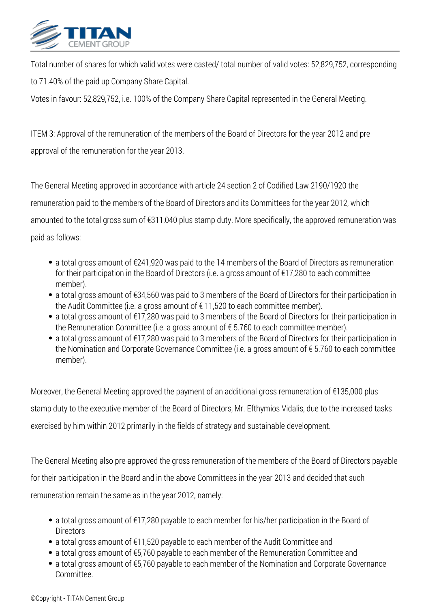

*Total number of shares for which valid votes were casted/ total number of valid votes: 52,829,752, corresponding to 71.40% of the paid up Company Share Capital.*

*Votes in favour: 52,829,752, i.e. 100% of the Company Share Capital represented in the General Meeting.*

*ITEM 3: Approval of the remuneration of the members of the Board of Directors for the year 2012 and preapproval of the remuneration for the year 2013.*

*The General Meeting approved in accordance with article 24 section 2 of Codified Law 2190/1920 the remuneration paid to the members of the Board of Directors and its Committees for the year 2012, which amounted to the total gross sum of €311,040 plus stamp duty. More specifically, the approved remuneration was paid as follows:*

- *a total gross amount of €241,920 was paid to the 14 members of the Board of Directors as remuneration for their participation in the Board of Directors (i.e. a gross amount of €17,280 to each committee member).*
- *a total gross amount of €34,560 was paid to 3 members of the Board of Directors for their participation in the Audit Committee (i.e. a gross amount of € 11,520 to each committee member).*
- *a total gross amount of €17,280 was paid to 3 members of the Board of Directors for their participation in the Remuneration Committee (i.e. a gross amount of € 5.760 to each committee member).*
- *a total gross amount of €17,280 was paid to 3 members of the Board of Directors for their participation in the Nomination and Corporate Governance Committee (i.e. a gross amount of € 5.760 to each committee member).*

*Moreover, the General Meeting approved the payment of an additional gross remuneration of €135,000 plus stamp duty to the executive member of the Board of Directors, Mr. Efthymios Vidalis, due to the increased tasks exercised by him within 2012 primarily in the fields of strategy and sustainable development.*

*The General Meeting also pre-approved the gross remuneration of the members of the Board of Directors payable for their participation in the Board and in the above Committees in the year 2013 and decided that such remuneration remain the same as in the year 2012, namely:*

- *a total gross amount of €17,280 payable to each member for his/her participation in the Board of Directors*
- *a total gross amount of €11,520 payable to each member of the Audit Committee and*
- *a total gross amount of €5,760 payable to each member of the Remuneration Committee and*
- *a total gross amount of €5,760 payable to each member of the Nomination and Corporate Governance Committee.*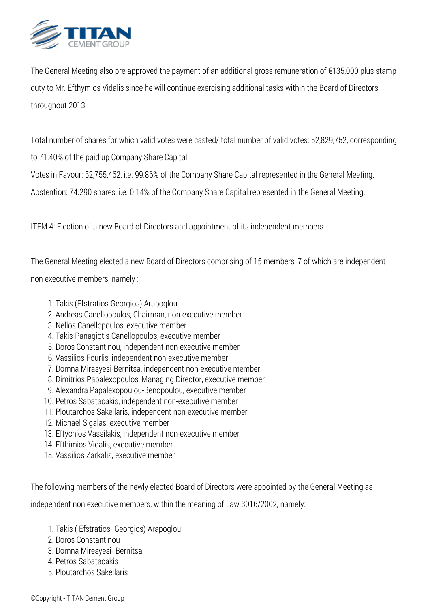

*The General Meeting also pre-approved the payment of an additional gross remuneration of €135,000 plus stamp duty to Mr. Efthymios Vidalis since he will continue exercising additional tasks within the Board of Directors throughout 2013.*

*Total number of shares for which valid votes were casted/ total number of valid votes: 52,829,752, corresponding to 71.40% of the paid up Company Share Capital.*

*Votes in Favour: 52,755,462, i.e. 99.86% of the Company Share Capital represented in the General Meeting.*

*Abstention: 74.290 shares, i.e. 0.14% of the Company Share Capital represented in the General Meeting.*

*ITEM 4: Election of a new Board of Directors and appointment of its independent members.*

*The General Meeting elected a new Board of Directors comprising of 15 members, 7 of which are independent non executive members, namely :*

- *1. Takis (Efstratios-Georgios) Arapoglou*
- *2. Andreas Canellopoulos, Chairman, non-executive member*
- *3. Nellos Canellopoulos, executive member*
- *4. Takis-Panagiotis Canellopoulos, executive member*
- *5. Doros Constantinou, independent non-executive member*
- *6. Vassilios Fourlis, independent non-executive member*
- *7. Domna Mirasyesi-Bernitsa, independent non-executive member*
- *8. Dimitrios Papalexopoulos, Managing Director, executive member*
- *9. Alexandra Papalexopoulou-Benopoulou, executive member*
- *10. Petros Sabatacakis, independent non-executive member*
- *11. Ploutarchos Sakellaris, independent non-executive member*
- *12. Michael Sigalas, executive member*
- *13. Eftychios Vassilakis, independent non-executive member*
- *14. Efthimios Vidalis, executive member*
- *15. Vassilios Zarkalis, executive member*

*The following members of the newly elected Board of Directors were appointed by the General Meeting as*

*independent non executive members, within the meaning of Law 3016/2002, namely:*

- *1. Takis ( Efstratios- Georgios) Arapoglou*
- *2. Doros Constantinou*
- *3. Domna Miresyesi- Bernitsa*
- *4. Petros Sabatacakis*
- *5. Ploutarchos Sakellaris*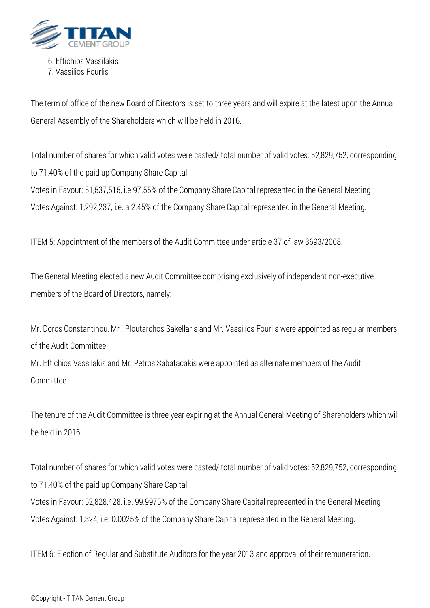

*6. Eftichios Vassilakis*

*7. Vassilios Fourlis*

*The term of office of the new Board of Directors is set to three years and will expire at the latest upon the Annual General Assembly of the Shareholders which will be held in 2016.*

*Total number of shares for which valid votes were casted/ total number of valid votes: 52,829,752, corresponding to 71.40% of the paid up Company Share Capital.*

*Votes in Favour: 51,537,515, i.e 97.55% of the Company Share Capital represented in the General Meeting Votes Against: 1,292,237, i.e. a 2.45% of the Company Share Capital represented in the General Meeting.*

*ITEM 5: Appointment of the members of the Audit Committee under article 37 of law 3693/2008.*

*The General Meeting elected a new Audit Committee comprising exclusively of independent non-executive members of the Board of Directors, namely:*

*Mr. Doros Constantinou, Mr . Ploutarchos Sakellaris and Mr. Vassilios Fourlis were appointed as regular members of the Audit Committee.*

*Mr. Eftichios Vassilakis and Mr. Petros Sabatacakis were appointed as alternate members of the Audit Committee.*

*The tenure of the Audit Committee is three year expiring at the Annual General Meeting of Shareholders which will be held in 2016.*

*Total number of shares for which valid votes were casted/ total number of valid votes: 52,829,752, corresponding to 71.40% of the paid up Company Share Capital.*

*Votes in Favour: 52,828,428, i.e. 99.9975% of the Company Share Capital represented in the General Meeting Votes Against: 1,324, i.e. 0.0025% of the Company Share Capital represented in the General Meeting.*

*ITEM 6: Election of Regular and Substitute Auditors for the year 2013 and approval of their remuneration.*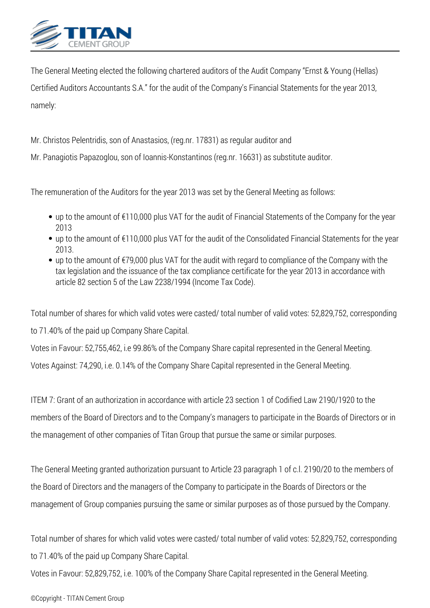

*The General Meeting elected the following chartered auditors of the Audit Company "Ernst & Young (Hellas) Certified Auditors Accountants S.A." for the audit of the Company's Financial Statements for the year 2013, namely:*

*Mr. Christos Pelentridis, son of Anastasios, (reg.nr. 17831) as regular auditor and*

*Mr. Panagiotis Papazoglou, son of Ioannis-Konstantinos (reg.nr. 16631) as substitute auditor.*

*The remuneration of the Auditors for the year 2013 was set by the General Meeting as follows:*

- *up to the amount of €110,000 plus VAT for the audit of Financial Statements of the Company for the year 2013*
- *up to the amount of €110,000 plus VAT for the audit of the Consolidated Financial Statements for the year 2013.*
- *up to the amount of €79,000 plus VAT for the audit with regard to compliance of the Company with the tax legislation and the issuance of the tax compliance certificate for the year 2013 in accordance with article 82 section 5 of the Law 2238/1994 (Income Tax Code).*

*Total number of shares for which valid votes were casted/ total number of valid votes: 52,829,752, corresponding*

*to 71.40% of the paid up Company Share Capital.*

*Votes in Favour: 52,755,462, i.e 99.86% of the Company Share capital represented in the General Meeting.*

*Votes Against: 74,290, i.e. 0.14% of the Company Share Capital represented in the General Meeting.*

*ITEM 7: Grant of an authorization in accordance with article 23 section 1 of Codified Law 2190/1920 to the members of the Board of Directors and to the Company's managers to participate in the Boards of Directors or in the management of other companies of Titan Group that pursue the same or similar purposes.*

*The General Meeting granted authorization pursuant to Article 23 paragraph 1 of c.l. 2190/20 to the members of the Board of Directors and the managers of the Company to participate in the Boards of Directors or the management of Group companies pursuing the same or similar purposes as of those pursued by the Company.*

*Total number of shares for which valid votes were casted/ total number of valid votes: 52,829,752, corresponding to 71.40% of the paid up Company Share Capital.*

*Votes in Favour: 52,829,752, i.e. 100% of the Company Share Capital represented in the General Meeting.*